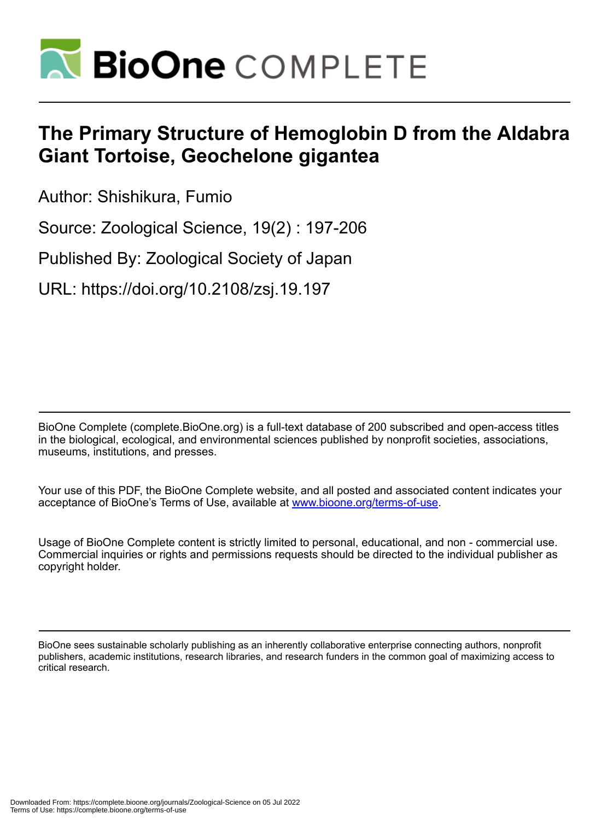

# **The Primary Structure of Hemoglobin D from the Aldabra Giant Tortoise, Geochelone gigantea**

Author: Shishikura, Fumio

Source: Zoological Science, 19(2) : 197-206

Published By: Zoological Society of Japan

URL: https://doi.org/10.2108/zsj.19.197

BioOne Complete (complete.BioOne.org) is a full-text database of 200 subscribed and open-access titles in the biological, ecological, and environmental sciences published by nonprofit societies, associations, museums, institutions, and presses.

Your use of this PDF, the BioOne Complete website, and all posted and associated content indicates your acceptance of BioOne's Terms of Use, available at www.bioone.org/terms-of-use.

Usage of BioOne Complete content is strictly limited to personal, educational, and non - commercial use. Commercial inquiries or rights and permissions requests should be directed to the individual publisher as copyright holder.

BioOne sees sustainable scholarly publishing as an inherently collaborative enterprise connecting authors, nonprofit publishers, academic institutions, research libraries, and research funders in the common goal of maximizing access to critical research.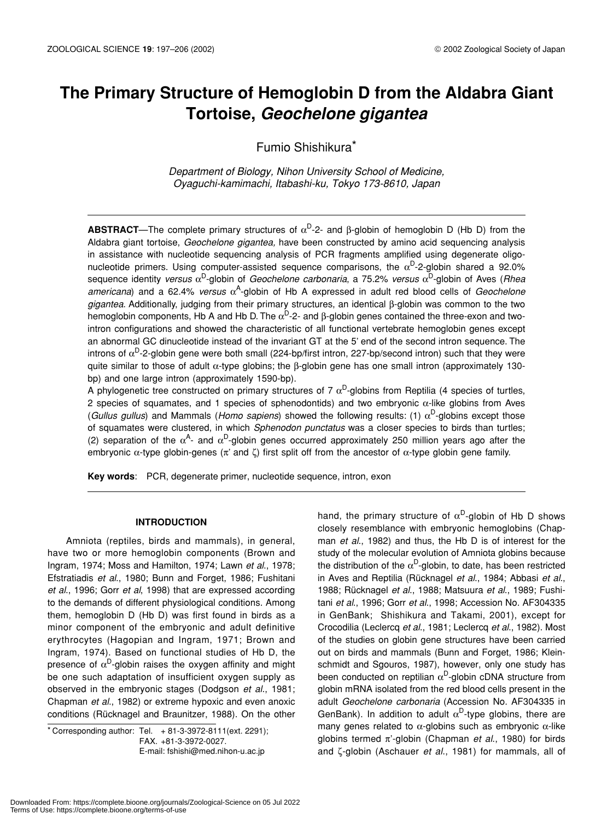# **The Primary Structure of Hemoglobin D from the Aldabra Giant Tortoise,** *Geochelone gigantea*

Fumio Shishikura\*

*Department of Biology, Nihon University School of Medicine, Oyaguchi-kamimachi, Itabashi-ku, Tokyo 173-8610, Japan*

**ABSTRACT**—The complete primary structures of  $\alpha^D$ -2- and β-globin of hemoglobin D (Hb D) from the Aldabra giant tortoise, *Geochelone gigantea,* have been constructed by amino acid sequencing analysis in assistance with nucleotide sequencing analysis of PCR fragments amplified using degenerate oligonucleotide primers. Using computer-assisted sequence comparisons, the  $\alpha^D$ -2-globin shared a 92.0% sequence identity *versus* αD-globin of *Geochelone carbonaria*, a 75.2% *versus* αD-globin of Aves (*Rhea* americana) and a 62.4% *versus* α<sup>A</sup>-globin of Hb A expressed in adult red blood cells of *Geochelone gigantea*. Additionally, judging from their primary structures, an identical β-globin was common to the two hemoglobin components, Hb A and Hb D. The  $\alpha^D$ -2- and β-globin genes contained the three-exon and twointron configurations and showed the characteristic of all functional vertebrate hemoglobin genes except an abnormal GC dinucleotide instead of the invariant GT at the 5' end of the second intron sequence. The introns of  $\alpha^D$ -2-globin gene were both small (224-bp/first intron, 227-bp/second intron) such that they were quite similar to those of adult α-type globins; the β-globin gene has one small intron (approximately 130 bp) and one large intron (approximately 1590-bp).

A phylogenetic tree constructed on primary structures of 7  $\alpha^D$ -globins from Reptilia (4 species of turtles, 2 species of squamates, and 1 species of sphenodontids) and two embryonic α-like globins from Aves (*Gullus gullus*) and Mammals (*Homo sapiens*) showed the following results: (1)  $\alpha^D$ -globins except those of squamates were clustered, in which *Sphenodon punctatus* was a closer species to birds than turtles; (2) separation of the  $\alpha^A$ - and  $\alpha^D$ -globin genes occurred approximately 250 million years ago after the embryonic  $\alpha$ -type globin-genes ( $\pi'$  and ζ) first split off from the ancestor of  $\alpha$ -type globin gene family.

**Key words**: PCR, degenerate primer, nucleotide sequence, intron, exon

#### **INTRODUCTION**

Amniota (reptiles, birds and mammals), in general, have two or more hemoglobin components (Brown and Ingram, 1974; Moss and Hamilton, 1974; Lawn *et al*., 1978; Efstratiadis *et al*., 1980; Bunn and Forget, 1986; Fushitani *et al*., 1996; Gorr *et al*, 1998) that are expressed according to the demands of different physiological conditions. Among them, hemoglobin D (Hb D) was first found in birds as a minor component of the embryonic and adult definitive erythrocytes (Hagopian and Ingram, 1971; Brown and Ingram, 1974). Based on functional studies of Hb D, the presence of  $\alpha^D$ -globin raises the oxygen affinity and might be one such adaptation of insufficient oxygen supply as observed in the embryonic stages (Dodgson *et al*., 1981; Chapman *et al*., 1982) or extreme hypoxic and even anoxic conditions (Rücknagel and Braunitzer, 1988). On the other

\* Corresponding author: Tel. + 81-3-3972-8111(ext. 2291); FAX. +81-3-3972-0027. E-mail: fshishi@med.nihon-u.ac.jp

hand, the primary structure of  $\alpha^D$ -globin of Hb D shows closely resemblance with embryonic hemoglobins (Chapman *et al*., 1982) and thus, the Hb D is of interest for the study of the molecular evolution of Amniota globins because the distribution of the  $\alpha^D$ -globin, to date, has been restricted in Aves and Reptilia (Rücknagel *et al*., 1984; Abbasi *et al*., 1988; Rücknagel *et al*., 1988; Matsuura *et al*., 1989; Fushitani *et al*., 1996; Gorr *et al*., 1998; Accession No. AF304335 in GenBank; Shishikura and Takami, 2001), except for Crocodilia (Leclercq *et al*., 1981; Leclercq *et al*., 1982). Most of the studies on globin gene structures have been carried out on birds and mammals (Bunn and Forget, 1986; Kleinschmidt and Sgouros, 1987), however, only one study has been conducted on reptilian  $\alpha^D$ -globin cDNA structure from globin mRNA isolated from the red blood cells present in the adult *Geochelone carbonaria* (Accession No. AF304335 in GenBank). In addition to adult  $\alpha^D$ -type globins, there are many genes related to  $\alpha$ -globins such as embryonic  $\alpha$ -like globins termed π'-globin (Chapman *et al*., 1980) for birds and ζ-globin (Aschauer *et al*., 1981) for mammals, all of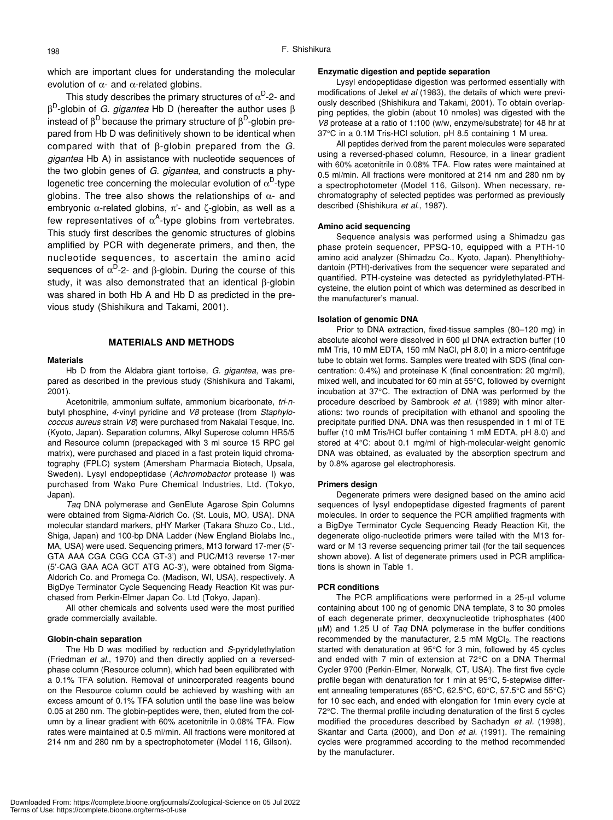which are important clues for understanding the molecular evolution of  $\alpha$ - and  $\alpha$ -related globins.

This study describes the primary structures of  $\alpha^D$ -2- and βD-globin of *G. gigantea* Hb D (hereafter the author uses β instead of  $\beta^D$  because the primary structure of  $\beta^D$ -globin prepared from Hb D was definitively shown to be identical when compared with that of β-globin prepared from the *G. gigantea* Hb A) in assistance with nucleotide sequences of the two globin genes of *G. gigantea*, and constructs a phylogenetic tree concerning the molecular evolution of  $\alpha^D$ -type globins. The tree also shows the relationships of  $\alpha$ - and embryonic  $\alpha$ -related globins,  $\pi$ <sup>-</sup> and ζ-globin, as well as a few representatives of  $\alpha^A$ -type globins from vertebrates. This study first describes the genomic structures of globins amplified by PCR with degenerate primers, and then, the nucleotide sequences, to ascertain the amino acid sequences of  $\alpha^D$ -2- and β-globin. During the course of this study, it was also demonstrated that an identical β-globin was shared in both Hb A and Hb D as predicted in the previous study (Shishikura and Takami, 2001).

#### **MATERIALS AND METHODS**

#### **Materials**

Hb D from the Aldabra giant tortoise, *G. gigantea*, was prepared as described in the previous study (Shishikura and Takami, 2001).

Acetonitrile, ammonium sulfate, ammonium bicarbonate, *tri*-*n*butyl phosphine, *4*-vinyl pyridine and *V8* protease (from *Staphylococcus aureus* strain *V8*) were purchased from Nakalai Tesque, Inc. (Kyoto, Japan). Separation columns, Alkyl Superose column HR5/5 and Resource column (prepackaged with 3 ml source 15 RPC gel matrix), were purchased and placed in a fast protein liquid chromatography (FPLC) system (Amersham Pharmacia Biotech, Upsala, Sweden). Lysyl endopeptidase (*Achromobactor* protease I) was purchased from Wako Pure Chemical Industries, Ltd. (Tokyo, Japan).

*Taq* DNA polymerase and GenElute Agarose Spin Columns were obtained from Sigma-Aldrich Co. (St. Louis, MO, USA). DNA molecular standard markers, pHY Marker (Takara Shuzo Co., Ltd., Shiga, Japan) and 100-bp DNA Ladder (New England Biolabs Inc., MA, USA) were used. Sequencing primers, M13 forward 17-mer (5'- GTA AAA CGA CGG CCA GT-3') and PUC/M13 reverse 17-mer (5'-CAG GAA ACA GCT ATG AC-3'), were obtained from Sigma-Aldorich Co. and Promega Co. (Madison, WI, USA), respectively. A BigDye Terminator Cycle Sequencing Ready Reaction Kit was purchased from Perkin-Elmer Japan Co. Ltd (Tokyo, Japan).

All other chemicals and solvents used were the most purified grade commercially available.

#### **Globin-chain separation**

The Hb D was modified by reduction and *S*-pyridylethylation (Friedman *et al*., 1970) and then directly applied on a reversedphase column (Resource column), which had been equilibrated with a 0.1% TFA solution. Removal of unincorporated reagents bound on the Resource column could be achieved by washing with an excess amount of 0.1% TFA solution until the base line was below 0.05 at 280 nm. The globin-peptides were, then, eluted from the column by a linear gradient with 60% acetonitrile in 0.08% TFA. Flow rates were maintained at 0.5 ml/min. All fractions were monitored at 214 nm and 280 nm by a spectrophotometer (Model 116, Gilson).

#### **Enzymatic digestion and peptide separation**

Lysyl endopeptidase digestion was performed essentially with modifications of Jekel *et al* (1983), the details of which were previously described (Shishikura and Takami, 2001). To obtain overlapping peptides, the globin (about 10 nmoles) was digested with the *V8* protease at a ratio of 1:100 (w/w, enzyme/substrate) for 48 hr at 37°C in a 0.1M Tris-HCl solution, pH 8.5 containing 1 M urea.

All peptides derived from the parent molecules were separated using a reversed-phased column, Resource, in a linear gradient with 60% acetonitrile in 0.08% TFA. Flow rates were maintained at 0.5 ml/min. All fractions were monitored at 214 nm and 280 nm by a spectrophotometer (Model 116, Gilson). When necessary, rechromatography of selected peptides was performed as previously described (Shishikura *et al*., 1987).

#### **Amino acid sequencing**

Sequence analysis was performed using a Shimadzu gas phase protein sequencer, PPSQ-10, equipped with a PTH-10 amino acid analyzer (Shimadzu Co., Kyoto, Japan). Phenylthiohydantoin (PTH)-derivatives from the sequencer were separated and quantified. PTH-cysteine was detected as pyridylethylated-PTHcysteine, the elution point of which was determined as described in the manufacturer's manual.

#### **Isolation of genomic DNA**

Prior to DNA extraction, fixed-tissue samples (80–120 mg) in absolute alcohol were dissolved in 600 µl DNA extraction buffer (10 mM Tris, 10 mM EDTA, 150 mM NaCl, pH 8.0) in a micro-centrifuge tube to obtain wet forms. Samples were treated with SDS (final concentration: 0.4%) and proteinase K (final concentration: 20 mg/ml), mixed well, and incubated for 60 min at 55°C, followed by overnight incubation at 37°C. The extraction of DNA was performed by the procedure described by Sambrook *et al.* (1989) with minor alterations: two rounds of precipitation with ethanol and spooling the precipitate purified DNA. DNA was then resuspended in 1 ml of TE buffer (10 mM Tris/HCl buffer containing 1 mM EDTA, pH 8.0) and stored at 4°C: about 0.1 mg/ml of high-molecular-weight genomic DNA was obtained, as evaluated by the absorption spectrum and by 0.8% agarose gel electrophoresis.

#### **Primers design**

Degenerate primers were designed based on the amino acid sequences of lysyl endopeptidase digested fragments of parent molecules. In order to sequence the PCR amplified fragments with a BigDye Terminator Cycle Sequencing Ready Reaction Kit, the degenerate oligo-nucleotide primers were tailed with the M13 forward or M 13 reverse sequencing primer tail (for the tail sequences shown above). A list of degenerate primers used in PCR amplifications is shown in Table 1.

#### **PCR conditions**

The PCR amplifications were performed in a 25-µl volume containing about 100 ng of genomic DNA template, 3 to 30 pmoles of each degenerate primer, deoxynucleotide triphosphates (400 µM) and 1.25 U of *Taq* DNA polymerase in the buffer conditions recommended by the manufacturer, 2.5 mM MgCl<sub>2</sub>. The reactions started with denaturation at 95°C for 3 min, followed by 45 cycles and ended with 7 min of extension at 72°C on a DNA Thermal Cycler 9700 (Perkin-Elmer, Norwalk, CT, USA). The first five cycle profile began with denaturation for 1 min at 95°C, 5-stepwise different annealing temperatures (65°C, 62.5°C, 60°C, 57.5°C and 55°C) for 10 sec each, and ended with elongation for 1min every cycle at 72°C. The thermal profile including denaturation of the first 5 cycles modified the procedures described by Sachadyn *et al.* (1998), Skantar and Carta (2000), and Don *et al.* (1991). The remaining cycles were programmed according to the method recommended by the manufacturer.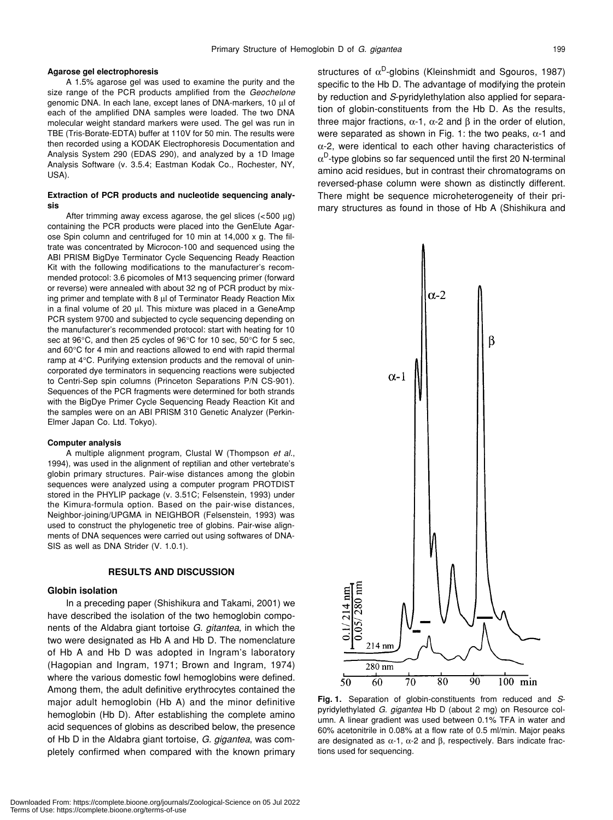#### **Agarose gel electrophoresis**

A 1.5% agarose gel was used to examine the purity and the size range of the PCR products amplified from the *Geochelone* genomic DNA. In each lane, except lanes of DNA-markers, 10 µl of each of the amplified DNA samples were loaded. The two DNA molecular weight standard markers were used. The gel was run in TBE (Tris-Borate-EDTA) buffer at 110V for 50 min. The results were then recorded using a KODAK Electrophoresis Documentation and Analysis System 290 (EDAS 290), and analyzed by a 1D Image Analysis Software (v. 3.5.4; Eastman Kodak Co., Rochester, NY, USA).

#### **Extraction of PCR products and nucleotide sequencing analysis**

After trimming away excess agarose, the gel slices  $\langle$  <500 µg) containing the PCR products were placed into the GenElute Agarose Spin column and centrifuged for 10 min at 14,000 x g. The filtrate was concentrated by Microcon-100 and sequenced using the ABI PRISM BigDye Terminator Cycle Sequencing Ready Reaction Kit with the following modifications to the manufacturer's recommended protocol: 3.6 picomoles of M13 sequencing primer (forward or reverse) were annealed with about 32 ng of PCR product by mixing primer and template with 8 µl of Terminator Ready Reaction Mix in a final volume of 20 µl. This mixture was placed in a GeneAmp PCR system 9700 and subjected to cycle sequencing depending on the manufacturer's recommended protocol: start with heating for 10 sec at 96°C, and then 25 cycles of 96°C for 10 sec, 50°C for 5 sec, and 60°C for 4 min and reactions allowed to end with rapid thermal ramp at 4°C. Purifying extension products and the removal of unincorporated dye terminators in sequencing reactions were subjected to Centri-Sep spin columns (Princeton Separations P/N CS-901). Sequences of the PCR fragments were determined for both strands with the BigDye Primer Cycle Sequencing Ready Reaction Kit and the samples were on an ABI PRISM 310 Genetic Analyzer (Perkin-Elmer Japan Co. Ltd. Tokyo).

#### **Computer analysis**

A multiple alignment program, Clustal W (Thompson *et al*., 1994), was used in the alignment of reptilian and other vertebrate's globin primary structures. Pair-wise distances among the globin sequences were analyzed using a computer program PROTDIST stored in the PHYLIP package (v. 3.51C; Felsenstein, 1993) under the Kimura-formula option. Based on the pair-wise distances, Neighbor-joining/UPGMA in NEIGHBOR (Felsenstein, 1993) was used to construct the phylogenetic tree of globins. Pair-wise alignments of DNA sequences were carried out using softwares of DNA-SIS as well as DNA Strider (V. 1.0.1).

#### **RESULTS AND DISCUSSION**

#### **Globin isolation**

In a preceding paper (Shishikura and Takami, 2001) we have described the isolation of the two hemoglobin components of the Aldabra giant tortoise *G. gitantea*, in which the two were designated as Hb A and Hb D. The nomenclature of Hb A and Hb D was adopted in Ingram's laboratory (Hagopian and Ingram, 1971; Brown and Ingram, 1974) where the various domestic fowl hemoglobins were defined. Among them, the adult definitive erythrocytes contained the major adult hemoglobin (Hb A) and the minor definitive hemoglobin (Hb D). After establishing the complete amino acid sequences of globins as described below, the presence of Hb D in the Aldabra giant tortoise, *G. gigantea*, was completely confirmed when compared with the known primary structures of  $\alpha^D$ -globins (Kleinshmidt and Sgouros, 1987) specific to the Hb D. The advantage of modifying the protein by reduction and *S*-pyridylethylation also applied for separation of globin-constituents from the Hb D. As the results, three major fractions,  $\alpha$ -1,  $\alpha$ -2 and β in the order of elution, were separated as shown in Fig. 1: the two peaks,  $\alpha$ -1 and α-2, were identical to each other having characteristics of  $\alpha^D$ -type globins so far sequenced until the first 20 N-terminal amino acid residues, but in contrast their chromatograms on reversed-phase column were shown as distinctly different. There might be sequence microheterogeneity of their primary structures as found in those of Hb A (Shishikura and



**Fig. 1.** Separation of globin-constituents from reduced and *S*pyridylethylated *G. gigantea* Hb D (about 2 mg) on Resource column. A linear gradient was used between 0.1% TFA in water and 60% acetonitrile in 0.08% at a flow rate of 0.5 ml/min. Major peaks are designated as  $α-1$ ,  $α-2$  and  $β$ , respectively. Bars indicate fractions used for sequencing.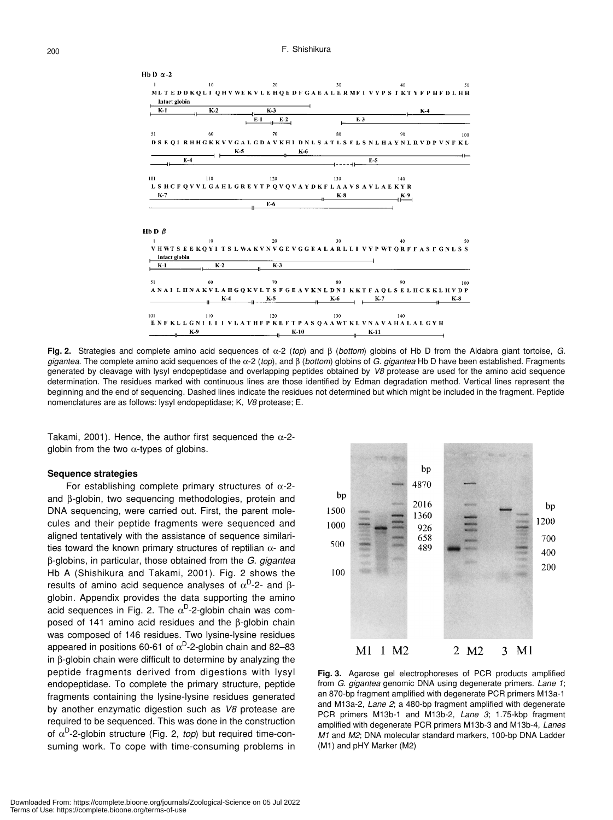

**Fig. 2.** Strategies and complete amino acid sequences of α-2 (*top*) and β (*bottom*) globins of Hb D from the Aldabra giant tortoise, *G. gigantea*. The complete amino acid sequences of the α-2 (*top*), and β (*bottom*) globins of *G. gigantea* Hb D have been established. Fragments generated by cleavage with lysyl endopeptidase and overlapping peptides obtained by *V8* protease are used for the amino acid sequence determination. The residues marked with continuous lines are those identified by Edman degradation method. Vertical lines represent the beginning and the end of sequencing. Dashed lines indicate the residues not determined but which might be included in the fragment. Peptide nomenclatures are as follows: lysyl endopeptidase; K, *V8* protease; E.

Takami, 2001). Hence, the author first sequenced the  $\alpha$ -2globin from the two  $\alpha$ -types of globins.

#### **Sequence strategies**

For establishing complete primary structures of  $\alpha$ -2and β-globin, two sequencing methodologies, protein and DNA sequencing, were carried out. First, the parent molecules and their peptide fragments were sequenced and aligned tentatively with the assistance of sequence similarities toward the known primary structures of reptilian  $\alpha$ - and β-globins, in particular, those obtained from the *G. gigantea* Hb A (Shishikura and Takami, 2001). Fig. 2 shows the results of amino acid sequence analyses of  $\alpha^D$ -2- and βglobin. Appendix provides the data supporting the amino acid sequences in Fig. 2. The  $\alpha^D$ -2-globin chain was composed of 141 amino acid residues and the β-globin chain was composed of 146 residues. Two lysine-lysine residues appeared in positions 60-61 of  $\alpha^{D}$ -2-globin chain and 82–83 in β-globin chain were difficult to determine by analyzing the peptide fragments derived from digestions with lysyl endopeptidase. To complete the primary structure, peptide fragments containing the lysine-lysine residues generated by another enzymatic digestion such as *V8* protease are required to be sequenced. This was done in the construction of  $\alpha^D$ -2-globin structure (Fig. 2, *top*) but required time-consuming work. To cope with time-consuming problems in



**Fig. 3.** Agarose gel electrophoreses of PCR products amplified from *G. gigantea* genomic DNA using degenerate primers. *Lane 1*; an 870-bp fragment amplified with degenerate PCR primers M13a-1 and M13a-2, *Lane 2*; a 480-bp fragment amplified with degenerate PCR primers M13b-1 and M13b-2, *Lane 3*; 1.75-kbp fragment amplified with degenerate PCR primers M13b-3 and M13b-4, *Lanes M1* and *M2*; DNA molecular standard markers, 100-bp DNA Ladder (M1) and pHY Marker (M2)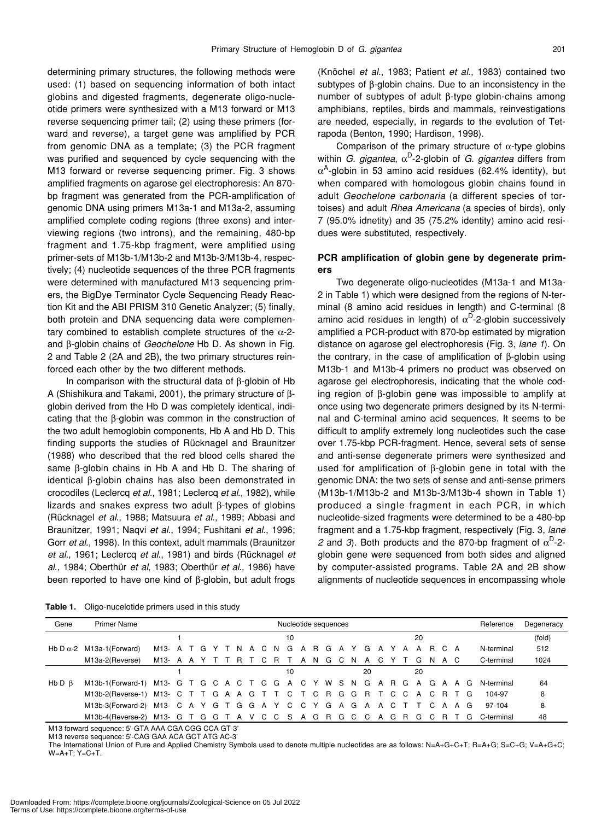determining primary structures, the following methods were used: (1) based on sequencing information of both intact globins and digested fragments, degenerate oligo-nucleotide primers were synthesized with a M13 forward or M13 reverse sequencing primer tail; (2) using these primers (forward and reverse), a target gene was amplified by PCR from genomic DNA as a template; (3) the PCR fragment was purified and sequenced by cycle sequencing with the M13 forward or reverse sequencing primer. Fig. 3 shows amplified fragments on agarose gel electrophoresis: An 870 bp fragment was generated from the PCR-amplification of genomic DNA using primers M13a-1 and M13a-2, assuming amplified complete coding regions (three exons) and interviewing regions (two introns), and the remaining, 480-bp fragment and 1.75-kbp fragment, were amplified using primer-sets of M13b-1/M13b-2 and M13b-3/M13b-4, respectively; (4) nucleotide sequences of the three PCR fragments were determined with manufactured M13 sequencing primers, the BigDye Terminator Cycle Sequencing Ready Reaction Kit and the ABI PRISM 310 Genetic Analyzer; (5) finally, both protein and DNA sequencing data were complementary combined to establish complete structures of the  $\alpha$ -2and β-globin chains of *Geochelone* Hb D. As shown in Fig. 2 and Table 2 (2A and 2B), the two primary structures reinforced each other by the two different methods.

In comparison with the structural data of β-globin of Hb A (Shishikura and Takami, 2001), the primary structure of βglobin derived from the Hb D was completely identical, indicating that the β-globin was common in the construction of the two adult hemoglobin components, Hb A and Hb D. This finding supports the studies of Rücknagel and Braunitzer (1988) who described that the red blood cells shared the same β-globin chains in Hb A and Hb D. The sharing of identical β-globin chains has also been demonstrated in crocodiles (Leclercq *et al*., 1981; Leclercq *et al*., 1982), while lizards and snakes express two adult β-types of globins (Rücknagel *et al*., 1988; Matsuura *et al*., 1989; Abbasi and Braunitzer, 1991; Naqvi *et al*., 1994; Fushitani *et al*., 1996; Gorr *et al*., 1998). In this context, adult mammals (Braunitzer *et al*., 1961; Leclercq *et al*., 1981) and birds (Rücknagel *et al*., 1984; Oberthür *et al*, 1983; Oberthür *et al*., 1986) have been reported to have one kind of β-globin, but adult frogs

(Knöchel *et al*., 1983; Patient *et al*., 1983) contained two subtypes of β-globin chains. Due to an inconsistency in the number of subtypes of adult β-type globin-chains among amphibians, reptiles, birds and mammals, reinvestigations are needed, especially, in regards to the evolution of Tetrapoda (Benton, 1990; Hardison, 1998).

Comparison of the primary structure of  $\alpha$ -type globins within *G. gigantea*,  $\alpha^D$ -2-globin of *G. gigantea* differs from  $\alpha^{A}$ -globin in 53 amino acid residues (62.4% identity), but when compared with homologous globin chains found in adult *Geochelone carbonaria* (a different species of tortoises) and adult *Rhea Americana* (a species of birds), only 7 (95.0% idnetity) and 35 (75.2% identity) amino acid residues were substituted, respectively.

# **PCR amplification of globin gene by degenerate primers**

Two degenerate oligo-nucleotides (M13a-1 and M13a-2 in Table 1) which were designed from the regions of N-terminal (8 amino acid residues in length) and C-terminal (8 amino acid residues in length) of  $\alpha^D$ -2-globin successively amplified a PCR-product with 870-bp estimated by migration distance on agarose gel electrophoresis (Fig. 3, *lane 1*). On the contrary, in the case of amplification of β-globin using M13b-1 and M13b-4 primers no product was observed on agarose gel electrophoresis, indicating that the whole coding region of β-globin gene was impossible to amplify at once using two degenerate primers designed by its N-terminal and C-terminal amino acid sequences. It seems to be difficult to amplify extremely long nucleotides such the case over 1.75-kbp PCR-fragment. Hence, several sets of sense and anti-sense degenerate primers were synthesized and used for amplification of β-globin gene in total with the genomic DNA: the two sets of sense and anti-sense primers (M13b-1/M13b-2 and M13b-3/M13b-4 shown in Table 1) produced a single fragment in each PCR, in which nucleotide-sized fragments were determined to be a 480-bp fragment and a 1.75-kbp fragment, respectively (Fig. 3, *lane 2* and *3*). Both products and the 870-bp fragment of  $\alpha^D$ -2globin gene were sequenced from both sides and aligned by computer-assisted programs. Table 2A and 2B show alignments of nucleotide sequences in encompassing whole

**Table 1.** Oligo-nucelotide primers used in this study

| Gene   | Primer Name                                                                       | Nucleotide sequences |  |  |  |  |  |  |  |  |  |    |  | Reference         | Degeneracy |    |  |                               |  |  |            |        |
|--------|-----------------------------------------------------------------------------------|----------------------|--|--|--|--|--|--|--|--|--|----|--|-------------------|------------|----|--|-------------------------------|--|--|------------|--------|
|        |                                                                                   |                      |  |  |  |  |  |  |  |  |  | 10 |  |                   |            |    |  | 20                            |  |  |            | (fold) |
|        | Hb D $\alpha$ -2 M13a-1(Forward)                                                  | M13- A T G Y T N     |  |  |  |  |  |  |  |  |  |    |  | A C N G A R G A Y |            | G  |  | A Y A A R C A                 |  |  | N-terminal | 512    |
|        | M13a-2(Reverse)                                                                   | M13- A A Y T T R T C |  |  |  |  |  |  |  |  |  |    |  |                   |            |    |  | R T A N G C N A C Y T G N A C |  |  | C-terminal | 1024   |
|        |                                                                                   |                      |  |  |  |  |  |  |  |  |  | 10 |  |                   |            | 20 |  | 20                            |  |  |            |        |
| Hb D B | M13b-1(Forward-1) M13- G T G C A C T G G A C Y W S N G A R G A G A A G            |                      |  |  |  |  |  |  |  |  |  |    |  |                   |            |    |  |                               |  |  | N-terminal | 64     |
|        | M13b-2(Reverse-1) M13- C T T G A A G T T C T C R G G R T C C A C R T G            |                      |  |  |  |  |  |  |  |  |  |    |  |                   |            |    |  |                               |  |  | 104-97     | 8      |
|        | M13b-3(Forward-2) M13- C A Y G T G G A Y C C Y G A G A A C T T C A A G            |                      |  |  |  |  |  |  |  |  |  |    |  |                   |            |    |  |                               |  |  | 97-104     | 8      |
|        | M13b-4(Reverse-2) M13- G T G G T A V C C S A G R G C C A G R G C R T G C-terminal |                      |  |  |  |  |  |  |  |  |  |    |  |                   |            |    |  |                               |  |  |            | 48     |

M13 forward sequence: 5'-GTA AAA CGA CGG CCA GT-3'

M13 reverse sequence: 5'-CAG GAA ACA GCT ATG AC-3'

The International Union of Pure and Applied Chemistry Symbols used to denote multiple nucleotides are as follows: N=A+G+C+T; R=A+G; S=C+G; V=A+G+C; W=A+T; Y=C+T.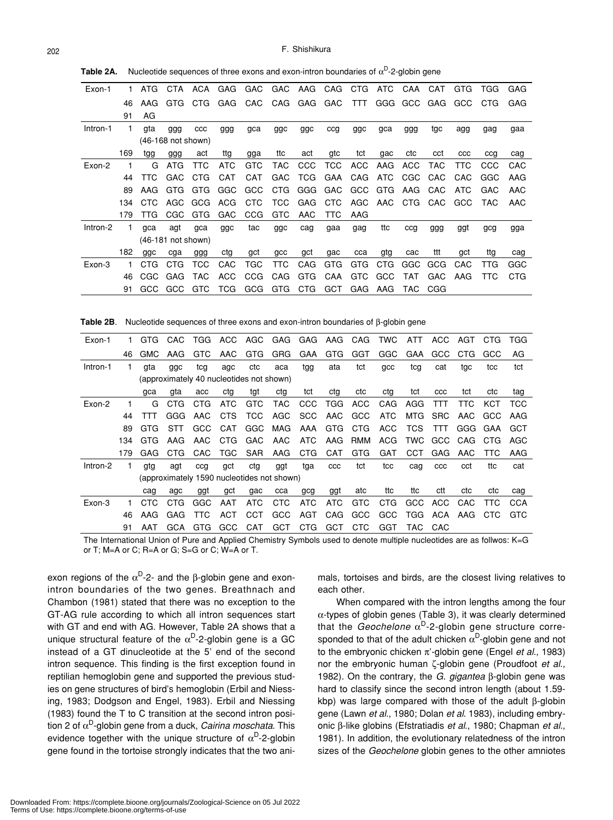| Exon-1   | 1.  | ATG                          | CTA                  | ACA        | <b>GAG</b> | <b>GAC</b> | <b>GAC</b> | AAG        | CAG        | CTG        | ATC | CAA        | CAT | GTG          | TGG  | GAG        |
|----------|-----|------------------------------|----------------------|------------|------------|------------|------------|------------|------------|------------|-----|------------|-----|--------------|------|------------|
|          | 46  | AAG                          | <b>GTG</b>           | CTG.       | GAG        | CAC        | CAG        | GAG        | GAC        | <b>TTT</b> | GGG | <b>GCC</b> | GAG | GCC          | CTG. | GAG        |
|          | 91  | AG                           |                      |            |            |            |            |            |            |            |     |            |     |              |      |            |
| Intron-1 | 1.  | gta                          | ggg                  | CCC        | ggg        | gca        | ggc        | ggc        | ccg        | ggc        | gca | ggg        | tgc | agg          | gag  | gaa        |
|          |     | $(46-168 \text{ not shown})$ |                      |            |            |            |            |            |            |            |     |            |     |              |      |            |
|          | 169 | tgg                          | ggg                  | act        | ttg        | gga        | ttc        | act        | gtc        | tct        | gac | ctc        | cct | $_{\rm ccc}$ | ccg  | cag        |
| Exon-2   | 1   | G                            | <b>ATG</b>           | TTC        | <b>ATC</b> | <b>GTC</b> | <b>TAC</b> | <b>CCC</b> | <b>TCC</b> | <b>ACC</b> | AAG | ACC        | TAC | TTC          | CCC  | CAC        |
|          | 44  | TTC                          | GAC                  | <b>CTG</b> | CAT        | CAT        | GAC        | TCG.       | GAA        | CAG        | ATC | CGC        | CAC | CAC          | GGC  | AAG        |
|          | 89  | AAG                          | GTG                  | GTG        | GGC        | GCC        | CTG        | GGG        | GAC        | GCC        | GTG | AAG        | CAC | ATC          | GAC  | AAC        |
|          | 134 | CTC.                         | AGC                  | GCG        | ACG        | CTC        | TCC.       | GAG        | <b>CTC</b> | AGC        | AAC | CTG.       | CAC | GCC          | TAC. | AAC        |
|          | 179 | TTG                          | CGC                  | GTG        | GAC        | <b>CCG</b> | <b>GTC</b> | AAC        | TTC        | AAG        |     |            |     |              |      |            |
| Intron-2 | 1.  | qca                          | agt                  | gca        | ggc        | tac        | ggc        | cag        | gaa        | gag        | ttc | ccg        | ggg | ggt          | gcg  | gga        |
|          |     |                              | $(46-181$ not shown) |            |            |            |            |            |            |            |     |            |     |              |      |            |
|          | 182 | ggc                          | cga                  | ggg        | ctg        | gct        | gcc        | gct        | gac        | cca        | gtg | cac        | ttt | gct          | ttg  | cag        |
| Exon-3   | 1   | CTG                          | CTG                  | тсс        | CAC        | TGC        | TTC        | CAG        | GTG        | <b>GTG</b> | CTG | GGC        | GCG | CAC          | TTG  | GGC        |
|          | 46  | CGC                          | GAG                  | TAC        | ACC        | <b>CCG</b> | CAG        | <b>GTG</b> | CAA        | <b>GTC</b> | GCC | TAT        | GAC | AAG          | TTC  | <b>CTG</b> |
|          | 91  | GCC.                         | GCC                  | GTC        | TCG        | GCG        | GTG        | CTG        | <b>GCT</b> | GAG        | AAG | TAC.       | CGG |              |      |            |

**Table 2A.** Nucleotide sequences of three exons and exon-intron boundaries of  $\alpha^D$ -2-globin gene

**Table 2B**. Nucleotide sequences of three exons and exon-intron boundaries of β-globin gene

| Exon-1   |                                          | GTG. | CAC        | TGG        | ACC        |            | AGC GAG                                    | GAG        | AAG          | CAG        | <b>TWC</b> | ATT        | ACC        | AGT | <b>CTG</b> | TGG |
|----------|------------------------------------------|------|------------|------------|------------|------------|--------------------------------------------|------------|--------------|------------|------------|------------|------------|-----|------------|-----|
|          | 46                                       | GMC  | AAG        | <b>GTC</b> | AAC        | <b>GTG</b> | <b>GRG</b>                                 | <b>GAA</b> | <b>GTG</b>   | GGT        | GGC        | <b>GAA</b> | GCC        | CTG | GCC        | AG  |
| Intron-1 | 1.                                       | gta  | ggc        | tcg        | agc        | ctc        | aca                                        | tgg        | ata          | tct        | gcc        | tcg        | cat        | tgc | tcc        | tct |
|          | (approximately 40 nucleotides not shown) |      |            |            |            |            |                                            |            |              |            |            |            |            |     |            |     |
|          |                                          | qca  | gta        | acc        | cta        | tgt        | ctg                                        | tct        | ctg          | ctc        | cta        | tct        | CCC        | tct | ctc        | tag |
| Exon-2   |                                          | G    | <b>CTG</b> | <b>CTG</b> | ATC        | <b>GTC</b> | TAC.                                       | <b>CCC</b> | <b>TGG</b>   | <b>ACC</b> | CAG        | AGG        | TTT        | TTC | KCT        | TCC |
|          | 44                                       | TTT  | GGG        | AAC        | CTS        | <b>TCC</b> | AGC                                        | <b>SCC</b> | AAC          | GCC        | <b>ATC</b> | MTG        | <b>SRC</b> | AAC | GCC        | AAG |
|          | 89                                       | GTG  | <b>STT</b> | GCC        | CAT        | GGC        | MAG                                        | AAA        | GTG          | <b>CTG</b> | ACC        | <b>TCS</b> | <b>TTT</b> | GGG | GAA        | GCT |
|          | 134                                      | GTG  | AAG        | AAC        | CTG.       | <b>GAC</b> | AAC                                        | <b>ATC</b> | AAG          | <b>RMM</b> | ACG        | TWC        | GCC        | CAG | CTG        | AGC |
|          | 179                                      | GAG  | CTG        | CAC        | TGC.       | SAR        | AAG                                        | <b>CTG</b> | <b>CAT</b>   | GTG        | GAT        | CCT        | <b>GAG</b> | AAC | TTC.       | AAG |
| Intron-2 | 1.                                       | gtg  | agt        | cca        | gct        | ctg        | ggt                                        | tga        | $_{\rm ccc}$ | tct        | tcc        | cag        | ccc        | cct | ttc        | cat |
|          |                                          |      |            |            |            |            | (approximately 1590 nucleotides not shown) |            |              |            |            |            |            |     |            |     |
|          |                                          | cag  | agc        | ggt        | gct        | gac        | cca                                        | gcg        | ggt          | atc        | ttc        | ttc        | ctt        | ctc | ctc        | cag |
| Exon-3   |                                          | CTC  | <b>CTG</b> | GGC        | AAT        | <b>ATC</b> | <b>CTC</b>                                 | <b>ATC</b> | <b>ATC</b>   | GTC        | <b>CTG</b> | GCC        | ACC        | CAC | TTC.       | CCA |
|          | 46                                       | AAG  | GAG        | <b>TTC</b> | <b>ACT</b> | <b>CCT</b> | GCC                                        | AGT        | CAG          | <b>GCC</b> | <b>GCC</b> | <b>TGG</b> | ACA        | AAG | CTC        | GTC |
|          | 91                                       | AAT  | <b>GCA</b> | GTG        | GCC        | <b>CAT</b> | GCT                                        | CTG        | GCT          | <b>CTC</b> | GGT        | TAC-       | CAC        |     |            |     |

The International Union of Pure and Applied Chemistry Symbols used to denote multiple nucleotides are as follwos: K=G or T; M=A or C; R=A or G; S=G or C; W=A or T.

exon regions of the  $α^D-2$ - and the  $β$ -globin gene and exonintron boundaries of the two genes. Breathnach and Chambon (1981) stated that there was no exception to the GT-AG rule according to which all intron sequences start with GT and end with AG. However, Table 2A shows that a unique structural feature of the  $\alpha^D$ -2-globin gene is a GC instead of a GT dinucleotide at the 5' end of the second intron sequence. This finding is the first exception found in reptilian hemoglobin gene and supported the previous studies on gene structures of bird's hemoglobin (Erbil and Niessing, 1983; Dodgson and Engel, 1983). Erbil and Niessing (1983) found the T to C transition at the second intron position 2 of α<sup>D</sup>-globin gene from a duck, *Cairina moschata*. This evidence together with the unique structure of  $\alpha^D$ -2-globin gene found in the tortoise strongly indicates that the two ani-

mals, tortoises and birds, are the closest living relatives to each other.

When compared with the intron lengths among the four α-types of globin genes (Table 3), it was clearly determined that the *Geochelone*  $\alpha^D$ -2-globin gene structure corresponded to that of the adult chicken  $\alpha^D$ -globin gene and not to the embryonic chicken π'-globin gene (Engel *et al*., 1983) nor the embryonic human ζ-globin gene (Proudfoot *et al*., 1982). On the contrary, the *G. gigantea* β-globin gene was hard to classify since the second intron length (about 1.59 kbp) was large compared with those of the adult β-globin gene (Lawn *et al*., 1980; Dolan *et al*. 1983), including embryonic β-like globins (Efstratiadis *et al*., 1980; Chapman *et al*., 1981). In addition, the evolutionary relatedness of the intron sizes of the *Geochelone* globin genes to the other amniotes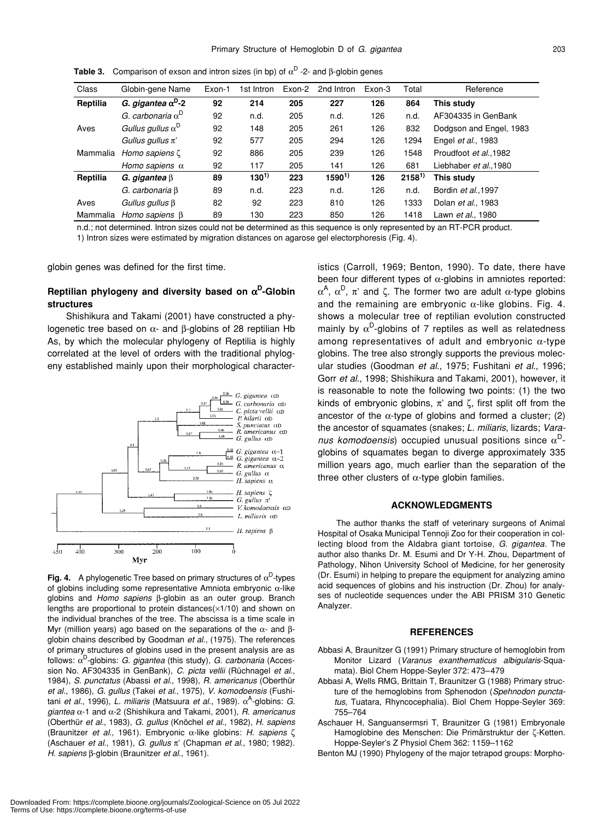| Class    | Globin-gene Name                  | Exon-1 | 1st Intron | Exon-2 | 2nd Intron | Exon-3 | Total      | Reference                  |
|----------|-----------------------------------|--------|------------|--------|------------|--------|------------|----------------------------|
| Reptilia | G. gigantea $\alpha^D$ -2         | 92     | 214        | 205    | 227        | 126    | 864        | This study                 |
|          | G. carbonaria $\alpha^D$          | 92     | n.d.       | 205    | n.d.       | 126    | n.d.       | AF304335 in GenBank        |
| Aves     | Gullus gullus $\alpha^{\text{D}}$ | 92     | 148        | 205    | 261        | 126    | 832        | Dodgson and Engel, 1983    |
|          | Gullus gullus $\pi$ '             | 92     | 577        | 205    | 294        | 126    | 1294       | Engel et al., 1983         |
| Mammalia | Homo sapiens $\zeta$              | 92     | 886        | 205    | 239        | 126    | 1548       | Proudfoot et al., 1982     |
|          | Homo sapiens $\alpha$             | 92     | 117        | 205    | 141        | 126    | 681        | Liebhaber et al., 1980     |
| Reptilia | G. gigantea $\beta$               | 89     | $130^{1}$  | 223    | $1590^{1}$ | 126    | $2158^{1}$ | This study                 |
|          | G. carbonaria B                   | 89     | n.d.       | 223    | n.d.       | 126    | n.d.       | Bordin et al., 1997        |
| Aves     | Gullus gullus $\beta$             | 82     | 92         | 223    | 810        | 126    | 1333       | Dolan <i>et al.</i> , 1983 |
| Mammalia | Homo sapiens B                    | 89     | 130        | 223    | 850        | 126    | 1418       | Lawn et al., 1980          |

**Table 3.** Comparison of exson and intron sizes (in bp) of  $\alpha^D$  -2- and  $\beta$ -globin genes

n.d.; not determined. Intron sizes could not be determined as this sequence is only represented by an RT-PCR product. 1) Intron sizes were estimated by migration distances on agarose gel electorphoresis (Fig. 4).

globin genes was defined for the first time.

## **Reptilian phylogeny and diversity based on** α**D-Globin structures**

Shishikura and Takami (2001) have constructed a phylogenetic tree based on  $\alpha$ - and  $\beta$ -globins of 28 reptilian Hb As, by which the molecular phylogeny of Reptilia is highly correlated at the level of orders with the traditional phylogeny established mainly upon their morphological character-



**Fig. 4.** A phylogenetic Tree based on primary structures of  $\alpha^D$ -types of globins including some representative Amniota embryonic α-like globins and *Homo sapiens* β-globin as an outer group. Branch lengths are proportional to protein distances $(x1/10)$  and shown on the individual branches of the tree. The abscissa is a time scale in Myr (million years) ago based on the separations of the  $α$ - and  $β$ globin chains described by Goodman *et al*., (1975). The references of primary structures of globins used in the present analysis are as follows: α<sup>D</sup>-globins: *G. gigantea* (this study), *G. carbonaria* (Accession No. AF304335 in GenBank), *C. picta vellii* (Rüchnagel *et al*., 1984), *S. punctatus* (Abassi *et al*., 1998), *R. americanus* (Oberthür *et al*., 1986), *G. gullus* (Takei *et al*., 1975), *V. komodoensis* (Fushitani *et al*., 1996), *L. miliaris* (Matsuura *et al*., 1989). αA-globins: *G. giantea* α-1 and α-2 (Shishikura and Takami, 2001), *R. americanus* (Oberthür *et al*., 1983), *G. gullus* (Knöchel *et al*., 1982), *H. sapiens* (Braunitzer *et al*., 1961). Embryonic α-like globins: *H. sapiens* ζ (Aschauer *et al*., 1981), *G. gullus* π' (Chapman *et al*., 1980; 1982). *H. sapiens* β-globin (Braunitzer *et al*., 1961).

istics (Carroll, 1969; Benton, 1990). To date, there have been four different types of  $\alpha$ -globins in amniotes reported:  $\alpha^{A}$ ,  $\alpha^{D}$ ,  $\pi'$  and ζ. The former two are adult  $\alpha$ -type globins and the remaining are embryonic  $\alpha$ -like globins. Fig. 4. shows a molecular tree of reptilian evolution constructed mainly by  $\alpha^D$ -globins of 7 reptiles as well as relatedness among representatives of adult and embryonic  $\alpha$ -type globins. The tree also strongly supports the previous molecular studies (Goodman *et al*., 1975; Fushitani *et al*., 1996; Gorr *et al*., 1998; Shishikura and Takami, 2001), however, it is reasonable to note the following two points: (1) the two kinds of embryonic globins,  $\pi'$  and  $\zeta$ , first split off from the ancestor of the  $\alpha$ -type of globins and formed a cluster; (2) the ancestor of squamates (snakes; *L. miliaris*, lizards; *Varanus komodoensis*) occupied unusual positions since  $\alpha^D$ globins of squamates began to diverge approximately 335 million years ago, much earlier than the separation of the three other clusters of  $\alpha$ -type globin families.

#### **ACKNOWLEDGMENTS**

The author thanks the staff of veterinary surgeons of Animal Hospital of Osaka Municipal Tennoji Zoo for their cooperation in collecting blood from the Aldabra giant tortoise, *G. gigantea*. The author also thanks Dr. M. Esumi and Dr Y-H. Zhou, Department of Pathology, Nihon University School of Medicine, for her generosity (Dr. Esumi) in helping to prepare the equipment for analyzing amino acid sequences of globins and his instruction (Dr. Zhou) for analyses of nucleotide sequences under the ABI PRISM 310 Genetic Analyzer.

#### **REFERENCES**

- Abbasi A, Braunitzer G (1991) Primary structure of hemoglobin from Monitor Lizard (*Varanus exanthematicus albigularis*-Squamata). Biol Chem Hoppe-Seyler 372: 473–479
- Abbasi A, Wells RMG, Brittain T, Braunitzer G (1988) Primary structure of the hemoglobins from Sphenodon (*Spehnodon punctatus*, Tuatara, Rhyncocephalia). Biol Chem Hoppe-Seyler 369: 755–764
- Aschauer H, Sanguansermsri T, Braunitzer G (1981) Embryonale Hamoglobine des Menschen: Die Primärstruktur der ζ-Ketten. Hoppe-Seyler's Z Physiol Chem 362: 1159–1162

Benton MJ (1990) Phylogeny of the major tetrapod groups: Morpho-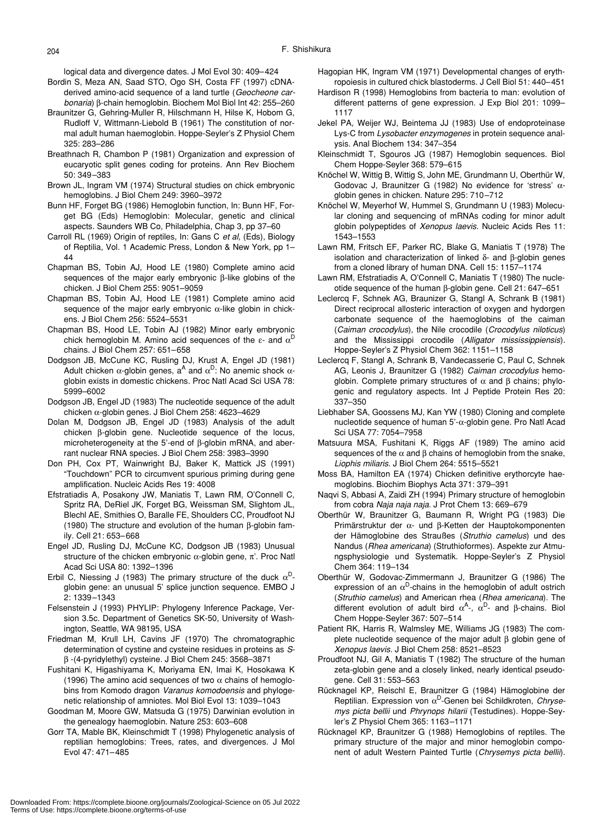logical data and divergence dates. J Mol Evol 30: 409–424

- Bordin S, Meza AN, Saad STO, Ogo SH, Costa FF (1997) cDNAderived amino-acid sequence of a land turtle (*Geocheone carbonaria*) β-chain hemoglobin. Biochem Mol Biol Int 42: 255–260
- Braunitzer G, Gehring-Muller R, Hilschmann H, Hilse K, Hobom G, Rudloff V, Wittmann-Liebold B (1961) The constitution of normal adult human haemoglobin. Hoppe-Seyler's Z Physiol Chem 325: 283–286
- Breathnach R, Chambon P (1981) Organization and expression of eucaryotic split genes coding for proteins. Ann Rev Biochem 50: 349–383
- Brown JL, Ingram VM (1974) Structural studies on chick embryonic hemoglobins. J Biol Chem 249: 3960–3972
- Bunn HF, Forget BG (1986) Hemoglobin function, In: Bunn HF, Forget BG (Eds) Hemoglobin: Molecular, genetic and clinical aspects. Saunders WB Co, Philadelphia, Chap 3, pp 37–60
- Carroll RL (1969) Origin of reptiles, In: Gans C *et al*, (Eds), Biology of Reptilia, Vol. 1 Academic Press, London & New York, pp 1– 44
- Chapman BS, Tobin AJ, Hood LE (1980) Complete amino acid sequences of the major early embryonic β-like globins of the chicken. J Biol Chem 255: 9051–9059
- Chapman BS, Tobin AJ, Hood LE (1981) Complete amino acid sequence of the major early embryonic  $\alpha$ -like globin in chickens. J Biol Chem 256: 5524–5531
- Chapman BS, Hood LE, Tobin AJ (1982) Minor early embryonic chick hemoglobin M. Amino acid sequences of the  $\varepsilon$ - and  $\alpha^D$ chains. J Biol Chem 257: 651–658
- Dodgson JB, McCune KC, Rusling DJ, Krust A, Engel JD (1981) Adult chicken  $\alpha$ -globin genes,  $a^A$  and  $\alpha^D$ : No anemic shock  $\alpha$ globin exists in domestic chickens. Proc Natl Acad Sci USA 78: 5999–6002
- Dodgson JB, Engel JD (1983) The nucleotide sequence of the adult chicken α-globin genes. J Biol Chem 258: 4623–4629
- Dolan M, Dodgson JB, Engel JD (1983) Analysis of the adult chicken β-globin gene. Nucleotide sequence of the locus, microheterogeneity at the 5'-end of β-globin mRNA, and aberrant nuclear RNA species. J Biol Chem 258: 3983–3990
- Don PH, Cox PT, Wainwright BJ, Baker K, Mattick JS (1991) "Touchdown" PCR to circumvent spurious priming during gene amplification. Nucleic Acids Res 19: 4008
- Efstratiadis A, Posakony JW, Maniatis T, Lawn RM, O'Connell C, Spritz RA, DeRiel JK, Forget BG, Weissman SM, Slightom JL, Blechl AE, Smithies O, Baralle FE, Shoulders CC, Proudfoot NJ (1980) The structure and evolution of the human β-globin family. Cell 21: 653–668
- Engel JD, Rusling DJ, McCune KC, Dodgson JB (1983) Unusual structure of the chicken embryonic  $\alpha$ -globin gene,  $\pi$ '. Proc Natl Acad Sci USA 80: 1392–1396
- Erbil C, Niessing J (1983) The primary structure of the duck  $\alpha^D$ globin gene: an unusual 5' splice junction sequence. EMBO J 2: 1339–1343
- Felsenstein J (1993) PHYLIP: Phylogeny Inference Package, Version 3.5c. Department of Genetics SK-50, University of Washington, Seattle, WA 98195, USA
- Friedman M, Krull LH, Cavins JF (1970) The chromatographic determination of cystine and cysteine residues in proteins as *S*β -(4-pyridylethyl) cysteine. J Biol Chem 245: 3568–3871
- Fushitani K, Higashiyama K, Moriyama EN, Imai K, Hosokawa K (1996) The amino acid sequences of two  $\alpha$  chains of hemoglobins from Komodo dragon *Varanus komodoensis* and phylogenetic relationship of amniotes. Mol Biol Evol 13: 1039–1043
- Goodman M, Moore GW, Matsuda G (1975) Darwinian evolution in the genealogy haemoglobin. Nature 253: 603–608
- Gorr TA, Mable BK, Kleinschmidt T (1998) Phylogenetic analysis of reptilian hemoglobins: Trees, rates, and divergences. J Mol Evol 47: 471–485
- Hagopian HK, Ingram VM (1971) Developmental changes of erythropoiesis in cultured chick blastoderms. J Cell Biol 51: 440–451
- Hardison R (1998) Hemoglobins from bacteria to man: evolution of different patterns of gene expression. J Exp Biol 201: 1099– 1117
- Jekel PA, Weijer WJ, Beintema JJ (1983) Use of endoproteinase Lys-C from *Lysobacter enzymogenes* in protein sequence analysis. Anal Biochem 134: 347–354
- Kleinschmidt T, Sgouros JG (1987) Hemoglobin sequences. Biol Chem Hoppe-Seyler 368: 579–615
- Knöchel W, Wittig B, Wittig S, John ME, Grundmann U, Oberthür W, Godovac J, Braunitzer G (1982) No evidence for 'stress' αglobin genes in chicken. Nature 295: 710–712
- Knöchel W, Meyerhof W, Hummel S, Grundmann U (1983) Molecular cloning and sequencing of mRNAs coding for minor adult globin polypeptides of *Xenopus laevis*. Nucleic Acids Res 11: 1543–1553
- Lawn RM, Fritsch EF, Parker RC, Blake G, Maniatis T (1978) The isolation and characterization of linked δ- and β-globin genes from a cloned library of human DNA. Cell 15: 1157–1174
- Lawn RM, Efstratiadis A, O'Connell C, Maniatis T (1980) The nucleotide sequence of the human β-globin gene. Cell 21: 647–651
- Leclercq F, Schnek AG, Braunizer G, Stangl A, Schrank B (1981) Direct reciprocal allosteric interaction of oxygen and hydorgen carbonate sequence of the haemoglobins of the caiman (*Caiman crocodylus*), the Nile crocodile (*Crocodylus niloticus*) and the Mississippi crocodile (*Alligator mississippiensis*). Hoppe-Seyler's Z Physiol Chem 362: 1151–1158
- Leclercq F, Stangl A, Schrank B, Vandecasserie C, Paul C, Schnek AG, Leonis J, Braunitzer G (1982) *Caiman crocodylus* hemoglobin. Complete primary structures of  $\alpha$  and  $\beta$  chains; phylogenic and regulatory aspects. Int J Peptide Protein Res 20: 337–350
- Liebhaber SA, Goossens MJ, Kan YW (1980) Cloning and complete nucleotide sequence of human 5'-α-globin gene. Pro Natl Acad Sci USA 77: 7054–7958
- Matsuura MSA, Fushitani K, Riggs AF (1989) The amino acid sequences of the  $\alpha$  and  $\beta$  chains of hemoglobin from the snake, *Liophis miliaris*. J Biol Chem 264: 5515–5521
- Moss BA, Hamilton EA (1974) Chicken definitive erythorcyte haemoglobins. Biochim Biophys Acta 371: 379–391
- Naqvi S, Abbasi A, Zaidi ZH (1994) Primary structure of hemoglobin from cobra *Naja naja naja*. J Prot Chem 13: 669–679
- Oberthür W, Braunitzer G, Baumann R, Wright PG (1983) Die Primärstruktur der α- und β-Ketten der Hauptokomponenten der Hämoglobine des Straußes (*Struthio camelus*) und des Nandus (*Rhea americana*) (Struthioformes). Aspekte zur Atmungsphysiologie und Systematik. Hoppe-Seyler's Z Physiol Chem 364: 119–134
- Oberthür W, Godovac-Zimmermann J, Braunitzer G (1986) The expression of an  $\alpha^D$ -chains in the hemoglobin of adult ostrich (*Struthio camelus*) and American rhea (*Rhea americana*). The different evolution of adult bird  $\alpha^A$ -,  $\alpha^D$ - and β-chains. Biol Chem Hoppe-Seyler 367: 507–514
- Patient RK, Harris R, Walmsley ME, Williams JG (1983) The complete nucleotide sequence of the major adult β globin gene of *Xenopus laevis*. J Biol Chem 258: 8521–8523
- Proudfoot NJ, Gil A, Maniatis T (1982) The structure of the human zeta-globin gene and a closely linked, nearly identical pseudogene. Cell 31: 553–563
- Rücknagel KP, Reischl E, Braunitzer G (1984) Hämoglobine der Reptilian. Expression von α<sup>D</sup>-Genen bei Schildkroten, Chryse*mys picta bellii* und *Phrynops hilarii* (Testudines). Hoppe-Seyler's Z Physiol Chem 365: 1163–1171
- Rücknagel KP, Braunitzer G (1988) Hemoglobins of reptiles. The primary structure of the major and minor hemoglobin component of adult Western Painted Turtle (*Chrysemys picta bellii*).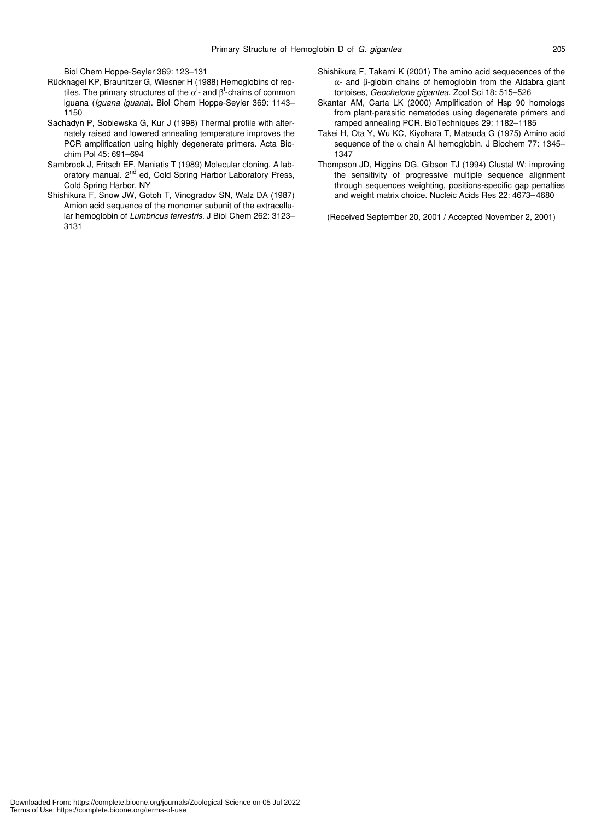Biol Chem Hoppe-Seyler 369: 123–131

- Rücknagel KP, Braunitzer G, Wiesner H (1988) Hemoglobins of reptiles. The primary structures of the  $\alpha^{\text{l}}$ - and  $\beta^{\text{l}}$ -chains of common iguana (*Iguana iguana*). Biol Chem Hoppe-Seyler 369: 1143– 1150
- Sachadyn P, Sobiewska G, Kur J (1998) Thermal profile with alternately raised and lowered annealing temperature improves the PCR amplification using highly degenerate primers. Acta Biochim Pol 45: 691–694
- Sambrook J, Fritsch EF, Maniatis T (1989) Molecular cloning. A laboratory manual. 2<sup>nd</sup> ed, Cold Spring Harbor Laboratory Press, Cold Spring Harbor, NY
- Shishikura F, Snow JW, Gotoh T, Vinogradov SN, Walz DA (1987) Amion acid sequence of the monomer subunit of the extracellular hemoglobin of *Lumbricus terrestris*. J Biol Chem 262: 3123– 3131
- Shishikura F, Takami K (2001) The amino acid sequecences of the α- and β-globin chains of hemoglobin from the Aldabra giant tortoises, *Geochelone gigantea*. Zool Sci 18: 515–526
- Skantar AM, Carta LK (2000) Amplification of Hsp 90 homologs from plant-parasitic nematodes using degenerate primers and ramped annealing PCR. BioTechniques 29: 1182–1185
- Takei H, Ota Y, Wu KC, Kiyohara T, Matsuda G (1975) Amino acid sequence of the  $\alpha$  chain AI hemoglobin. J Biochem 77: 1345– 1347
- Thompson JD, Higgins DG, Gibson TJ (1994) Clustal W: improving the sensitivity of progressive multiple sequence alignment through sequences weighting, positions-specific gap penalties and weight matrix choice. Nucleic Acids Res 22: 4673–4680

(Received September 20, 2001 / Accepted November 2, 2001)